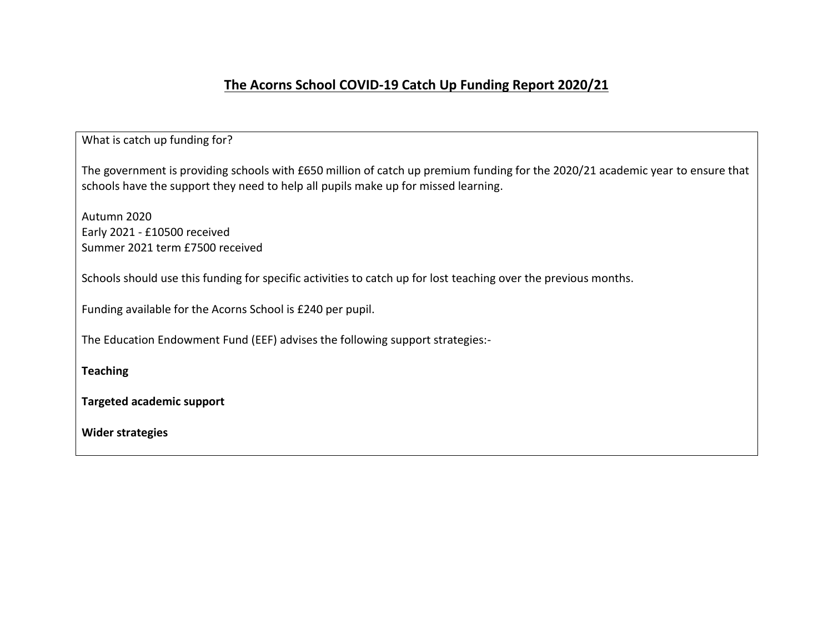# **The Acorns School COVID-19 Catch Up Funding Report 2020/21**

| What is catch up funding for?                                                                                                                                                                                        |
|----------------------------------------------------------------------------------------------------------------------------------------------------------------------------------------------------------------------|
| The government is providing schools with £650 million of catch up premium funding for the 2020/21 academic year to ensure that<br>schools have the support they need to help all pupils make up for missed learning. |
| Autumn 2020<br>Early 2021 - £10500 received<br>Summer 2021 term £7500 received                                                                                                                                       |
| Schools should use this funding for specific activities to catch up for lost teaching over the previous months.                                                                                                      |
| Funding available for the Acorns School is £240 per pupil.                                                                                                                                                           |
| The Education Endowment Fund (EEF) advises the following support strategies:-                                                                                                                                        |
| <b>Teaching</b>                                                                                                                                                                                                      |
| <b>Targeted academic support</b>                                                                                                                                                                                     |
| <b>Wider strategies</b>                                                                                                                                                                                              |
|                                                                                                                                                                                                                      |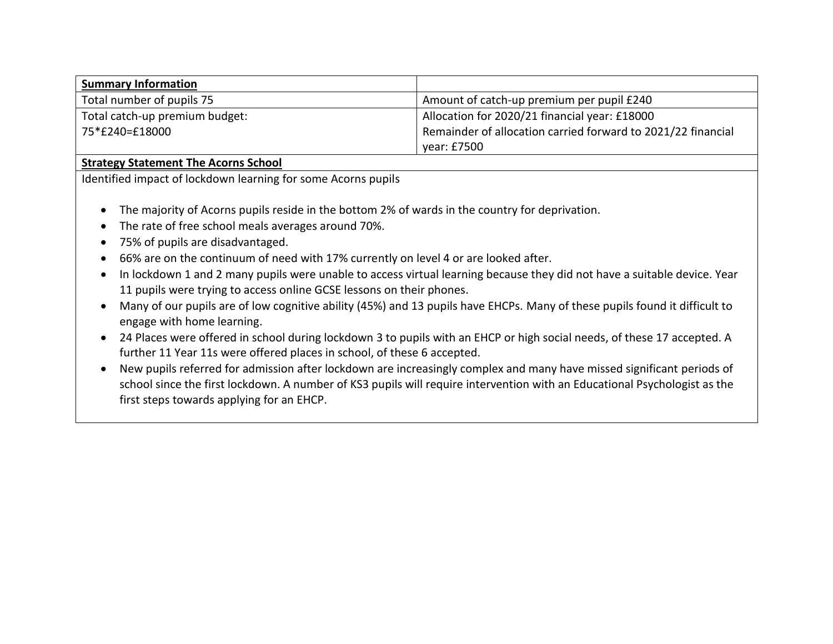| <b>Summary Information</b>     |                                                              |
|--------------------------------|--------------------------------------------------------------|
| Total number of pupils 75      | Amount of catch-up premium per pupil £240                    |
| Total catch-up premium budget: | Allocation for 2020/21 financial year: £18000                |
| 75*£240=£18000                 | Remainder of allocation carried forward to 2021/22 financial |
|                                | year: £7500                                                  |

# **Strategy Statement The Acorns School**

Identified impact of lockdown learning for some Acorns pupils

- The majority of Acorns pupils reside in the bottom 2% of wards in the country for deprivation.
- The rate of free school meals averages around 70%.
- 75% of pupils are disadvantaged.
- 66% are on the continuum of need with 17% currently on level 4 or are looked after.
- In lockdown 1 and 2 many pupils were unable to access virtual learning because they did not have a suitable device. Year 11 pupils were trying to access online GCSE lessons on their phones.
- Many of our pupils are of low cognitive ability (45%) and 13 pupils have EHCPs. Many of these pupils found it difficult to engage with home learning.
- 24 Places were offered in school during lockdown 3 to pupils with an EHCP or high social needs, of these 17 accepted. A further 11 Year 11s were offered places in school, of these 6 accepted.
- New pupils referred for admission after lockdown are increasingly complex and many have missed significant periods of school since the first lockdown. A number of KS3 pupils will require intervention with an Educational Psychologist as the first steps towards applying for an EHCP.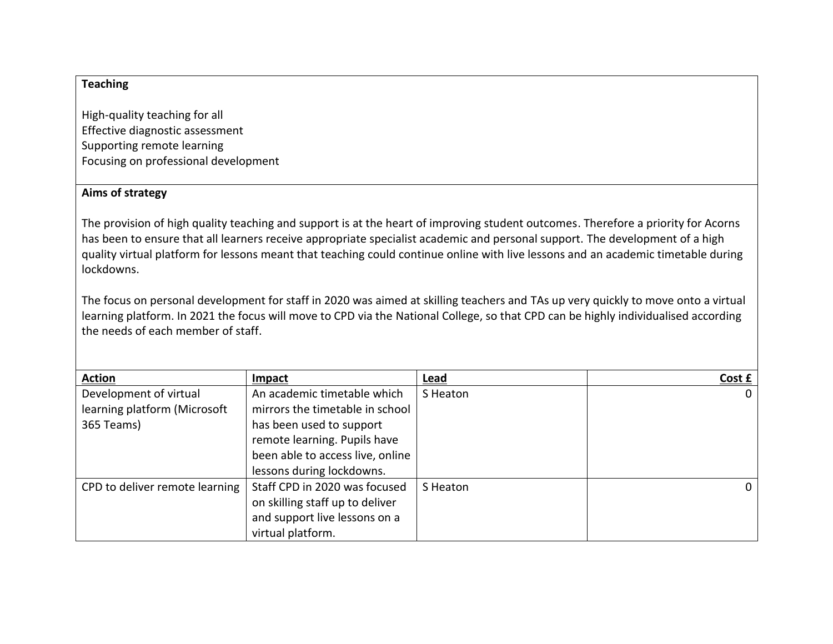## **Teaching**

High-quality teaching for all Effective diagnostic assessment Supporting remote learning Focusing on professional development

#### **Aims of strategy**

The provision of high quality teaching and support is at the heart of improving student outcomes. Therefore a priority for Acorns has been to ensure that all learners receive appropriate specialist academic and personal support. The development of a high quality virtual platform for lessons meant that teaching could continue online with live lessons and an academic timetable during lockdowns.

The focus on personal development for staff in 2020 was aimed at skilling teachers and TAs up very quickly to move onto a virtual learning platform. In 2021 the focus will move to CPD via the National College, so that CPD can be highly individualised according the needs of each member of staff.

| <b>Action</b>                  | Impact                           | Lead     | Cost £   |
|--------------------------------|----------------------------------|----------|----------|
| Development of virtual         | An academic timetable which      | S Heaton | $\Omega$ |
| learning platform (Microsoft   | mirrors the timetable in school  |          |          |
| 365 Teams)                     | has been used to support         |          |          |
|                                | remote learning. Pupils have     |          |          |
|                                | been able to access live, online |          |          |
|                                | lessons during lockdowns.        |          |          |
| CPD to deliver remote learning | Staff CPD in 2020 was focused    | S Heaton | $\Omega$ |
|                                | on skilling staff up to deliver  |          |          |
|                                | and support live lessons on a    |          |          |
|                                | virtual platform.                |          |          |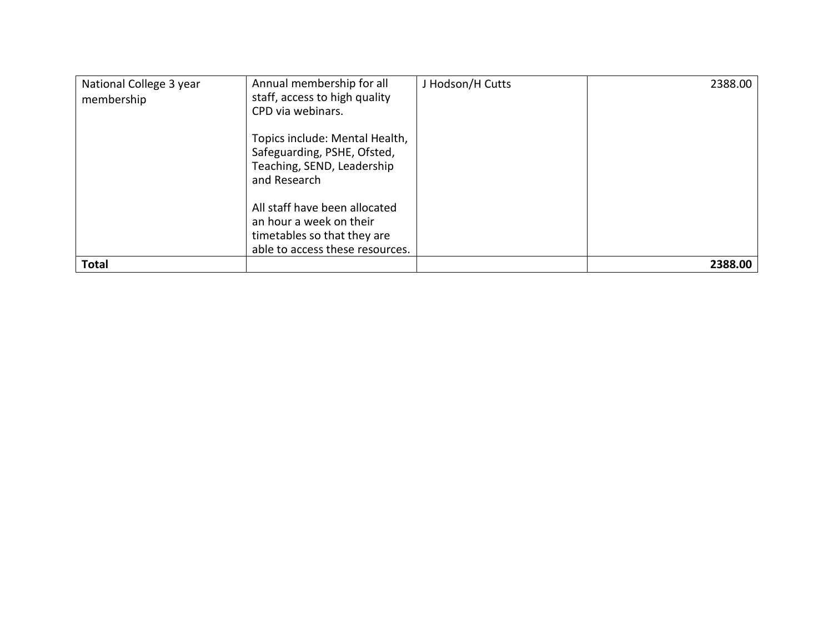| National College 3 year<br>membership | Annual membership for all<br>staff, access to high quality<br>CPD via webinars.<br>Topics include: Mental Health,<br>Safeguarding, PSHE, Ofsted,<br>Teaching, SEND, Leadership<br>and Research<br>All staff have been allocated<br>an hour a week on their<br>timetables so that they are<br>able to access these resources. | J Hodson/H Cutts | 2388.00 |
|---------------------------------------|------------------------------------------------------------------------------------------------------------------------------------------------------------------------------------------------------------------------------------------------------------------------------------------------------------------------------|------------------|---------|
| <b>Total</b>                          |                                                                                                                                                                                                                                                                                                                              |                  | 2388.00 |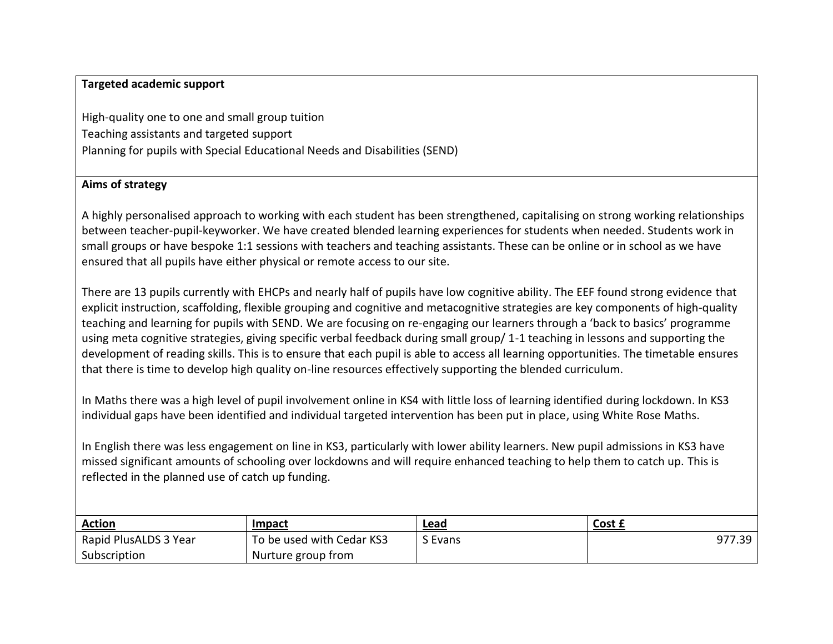#### **Targeted academic support**

High-quality one to one and small group tuition Teaching assistants and targeted support Planning for pupils with Special Educational Needs and Disabilities (SEND)

#### **Aims of strategy**

A highly personalised approach to working with each student has been strengthened, capitalising on strong working relationships between teacher-pupil-keyworker. We have created blended learning experiences for students when needed. Students work in small groups or have bespoke 1:1 sessions with teachers and teaching assistants. These can be online or in school as we have ensured that all pupils have either physical or remote access to our site.

There are 13 pupils currently with EHCPs and nearly half of pupils have low cognitive ability. The EEF found strong evidence that explicit instruction, scaffolding, flexible grouping and cognitive and metacognitive strategies are key components of high-quality teaching and learning for pupils with SEND. We are focusing on re-engaging our learners through a 'back to basics' programme using meta cognitive strategies, giving specific verbal feedback during small group/ 1-1 teaching in lessons and supporting the development of reading skills. This is to ensure that each pupil is able to access all learning opportunities. The timetable ensures that there is time to develop high quality on-line resources effectively supporting the blended curriculum.

In Maths there was a high level of pupil involvement online in KS4 with little loss of learning identified during lockdown. In KS3 individual gaps have been identified and individual targeted intervention has been put in place, using White Rose Maths.

In English there was less engagement on line in KS3, particularly with lower ability learners. New pupil admissions in KS3 have missed significant amounts of schooling over lockdowns and will require enhanced teaching to help them to catch up. This is reflected in the planned use of catch up funding.

| <b>Action</b>         | Impact                    | Lead    | Cost £ |
|-----------------------|---------------------------|---------|--------|
| Rapid PlusALDS 3 Year | To be used with Cedar KS3 | S Evans | 977.39 |
| Subscription          | Nurture group from        |         |        |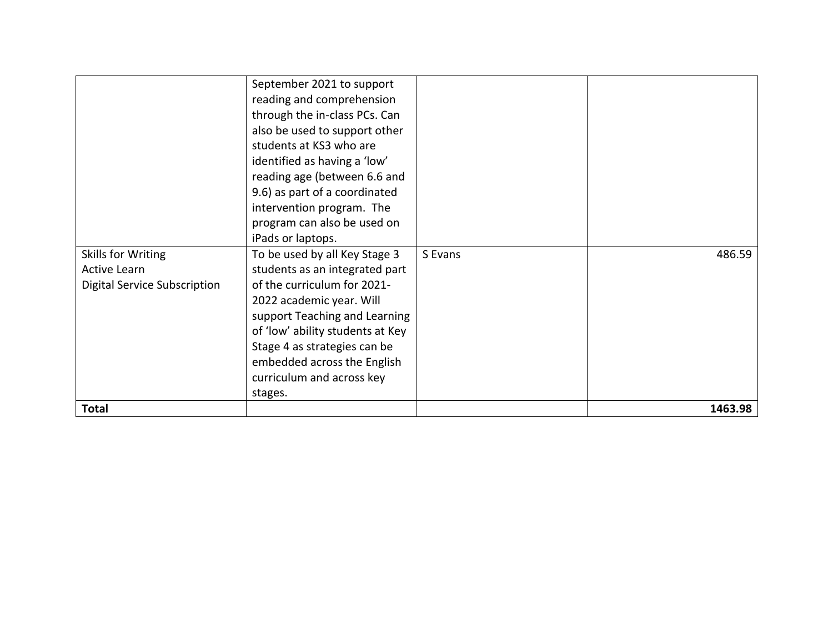|                                     | September 2021 to support        |         |         |
|-------------------------------------|----------------------------------|---------|---------|
|                                     | reading and comprehension        |         |         |
|                                     | through the in-class PCs. Can    |         |         |
|                                     | also be used to support other    |         |         |
|                                     | students at KS3 who are          |         |         |
|                                     | identified as having a 'low'     |         |         |
|                                     | reading age (between 6.6 and     |         |         |
|                                     | 9.6) as part of a coordinated    |         |         |
|                                     | intervention program. The        |         |         |
|                                     | program can also be used on      |         |         |
|                                     | iPads or laptops.                |         |         |
| Skills for Writing                  | To be used by all Key Stage 3    | S Evans | 486.59  |
| <b>Active Learn</b>                 | students as an integrated part   |         |         |
| <b>Digital Service Subscription</b> | of the curriculum for 2021-      |         |         |
|                                     | 2022 academic year. Will         |         |         |
|                                     | support Teaching and Learning    |         |         |
|                                     | of 'low' ability students at Key |         |         |
|                                     | Stage 4 as strategies can be     |         |         |
|                                     | embedded across the English      |         |         |
|                                     | curriculum and across key        |         |         |
|                                     | stages.                          |         |         |
| <b>Total</b>                        |                                  |         | 1463.98 |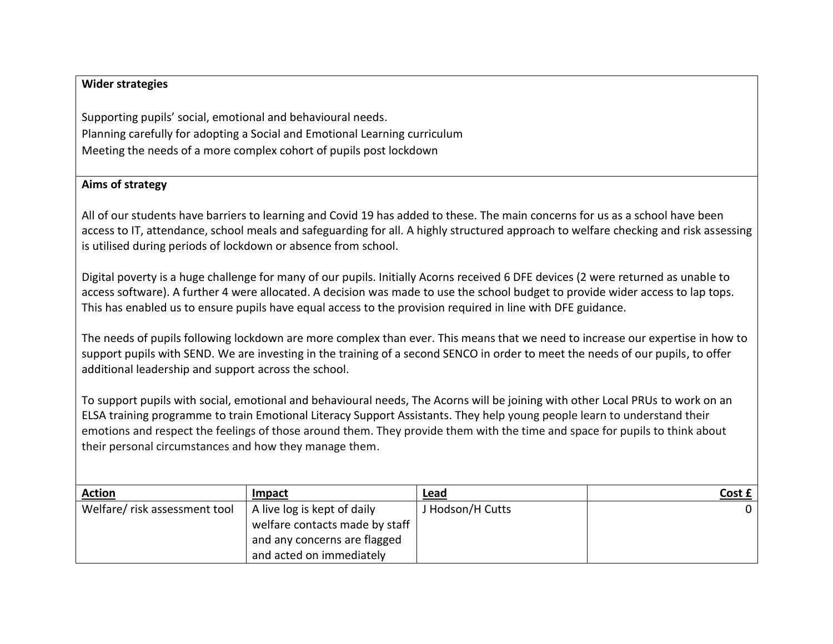## **Wider strategies**

Supporting pupils' social, emotional and behavioural needs. Planning carefully for adopting a Social and Emotional Learning curriculum Meeting the needs of a more complex cohort of pupils post lockdown

#### **Aims of strategy**

All of our students have barriers to learning and Covid 19 has added to these. The main concerns for us as a school have been access to IT, attendance, school meals and safeguarding for all. A highly structured approach to welfare checking and risk assessing is utilised during periods of lockdown or absence from school.

Digital poverty is a huge challenge for many of our pupils. Initially Acorns received 6 DFE devices (2 were returned as unable to access software). A further 4 were allocated. A decision was made to use the school budget to provide wider access to lap tops. This has enabled us to ensure pupils have equal access to the provision required in line with DFE guidance.

The needs of pupils following lockdown are more complex than ever. This means that we need to increase our expertise in how to support pupils with SEND. We are investing in the training of a second SENCO in order to meet the needs of our pupils, to offer additional leadership and support across the school.

To support pupils with social, emotional and behavioural needs, The Acorns will be joining with other Local PRUs to work on an ELSA training programme to train Emotional Literacy Support Assistants. They help young people learn to understand their emotions and respect the feelings of those around them. They provide them with the time and space for pupils to think about their personal circumstances and how they manage them.

| <b>Action</b>                 | Impact                         | Lead             | Cost £ |
|-------------------------------|--------------------------------|------------------|--------|
| Welfare/ risk assessment tool | A live log is kept of daily    | J Hodson/H Cutts |        |
|                               | welfare contacts made by staff |                  |        |
|                               | and any concerns are flagged   |                  |        |
|                               | and acted on immediately       |                  |        |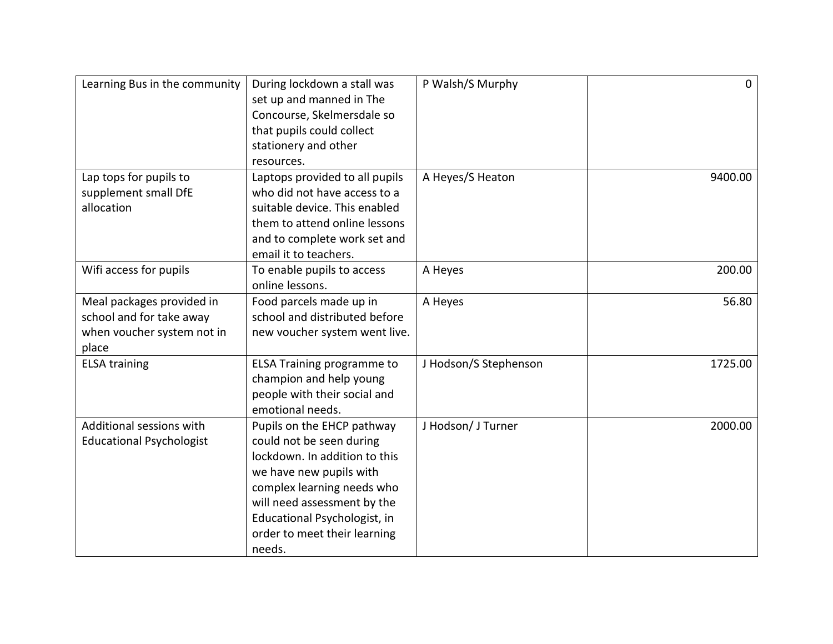| Learning Bus in the community                                                                | During lockdown a stall was<br>set up and manned in The<br>Concourse, Skelmersdale so<br>that pupils could collect<br>stationery and other<br>resources.                                                                                                  | P Walsh/S Murphy      | $\mathbf 0$ |
|----------------------------------------------------------------------------------------------|-----------------------------------------------------------------------------------------------------------------------------------------------------------------------------------------------------------------------------------------------------------|-----------------------|-------------|
| Lap tops for pupils to<br>supplement small DfE<br>allocation                                 | Laptops provided to all pupils<br>who did not have access to a<br>suitable device. This enabled<br>them to attend online lessons<br>and to complete work set and<br>email it to teachers.                                                                 | A Heyes/S Heaton      | 9400.00     |
| Wifi access for pupils                                                                       | To enable pupils to access<br>online lessons.                                                                                                                                                                                                             | A Heyes               | 200.00      |
| Meal packages provided in<br>school and for take away<br>when voucher system not in<br>place | Food parcels made up in<br>school and distributed before<br>new voucher system went live.                                                                                                                                                                 | A Heyes               | 56.80       |
| <b>ELSA training</b>                                                                         | <b>ELSA Training programme to</b><br>champion and help young<br>people with their social and<br>emotional needs.                                                                                                                                          | J Hodson/S Stephenson | 1725.00     |
| Additional sessions with<br><b>Educational Psychologist</b>                                  | Pupils on the EHCP pathway<br>could not be seen during<br>lockdown. In addition to this<br>we have new pupils with<br>complex learning needs who<br>will need assessment by the<br>Educational Psychologist, in<br>order to meet their learning<br>needs. | J Hodson/ J Turner    | 2000.00     |